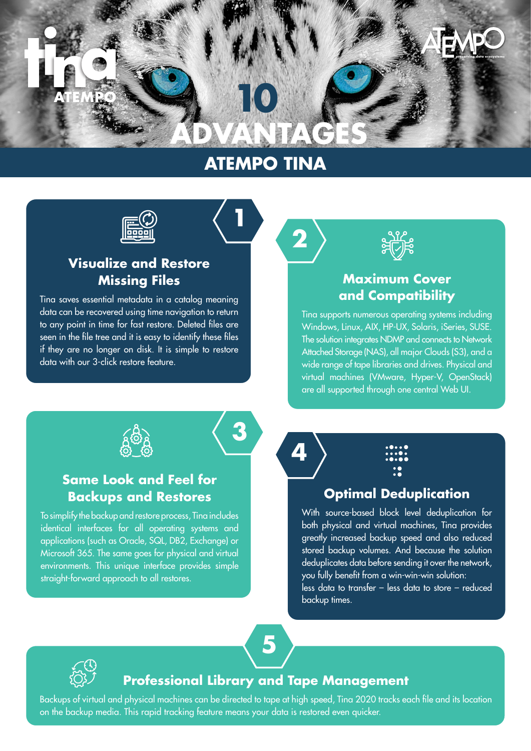# **preserving data ecosystems 10 ADVANTAGES**

# **ATEMPO TINA**

**<sup>1</sup> 12**



# **Visualize and Restore Missing Files**

Tina saves essential metadata in a catalog meaning data can be recovered using time navigation to return to any point in time for fast restore. Deleted files are seen in the file tree and it is easy to identify these files if they are no longer on disk. It is simple to restore data with our 3-click restore feature.



## **Maximum Cover and Compatibility**

Tina supports numerous operating systems including Windows, Linux, AIX, HP-UX, Solaris, iSeries, SUSE. The solution integrates NDMP and connects to Network Attached Storage (NAS), all major Clouds (S3), and a wide range of tape libraries and drives. Physical and virtual machines (VMware, Hyper-V, OpenStack) are all supported through one central Web UI.



## **Same Look and Feel for Backups and Restores**

To simplify the backup and restore process, Tina includes identical interfaces for all operating systems and applications (such as Oracle, SQL, DB2, Exchange) or Microsoft 365. The same goes for physical and virtual environments. This unique interface provides simple straight-forward approach to all restores.



**3**



## **Optimal Deduplication**

With source-based block level deduplication for both physical and virtual machines, Tina provides greatly increased backup speed and also reduced stored backup volumes. And because the solution deduplicates data before sending it over the network, you fully benefit from a win-win-win solution:

less data to transfer – less data to store – reduced backup times.





#### **Professional Library and Tape Management**

Backups of virtual and physical machines can be directed to tape at high speed, Tina 2020 tracks each file and its location on the backup media. This rapid tracking feature means your data is restored even quicker.